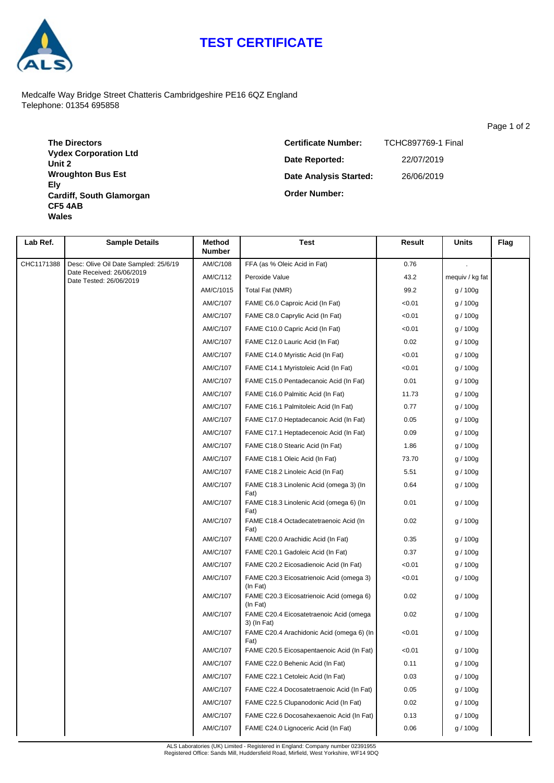## **TEST CERTIFICATE**



Medcalfe Way Bridge Street Chatteris Cambridgeshire PE16 6QZ England Telephone: 01354 695858

**The Directors Vydex Corporation Ltd Unit 2 Wroughton Bus Est Ely Cardiff, South Glamorgan CF5 4AB Wales**

**Date Analysis Started: Order Number: Date Reported: Certificate Number:** TCHC897769-1 Final 22/07/2019 26/06/2019

| Lab Ref.   | <b>Sample Details</b>                                                                         | Method<br><b>Number</b> | <b>Test</b>                                            | Result | Units           | Flag |
|------------|-----------------------------------------------------------------------------------------------|-------------------------|--------------------------------------------------------|--------|-----------------|------|
| CHC1171388 | Desc: Olive Oil Date Sampled: 25/6/19<br>Date Received: 26/06/2019<br>Date Tested: 26/06/2019 | AM/C/108                | FFA (as % Oleic Acid in Fat)                           | 0.76   |                 |      |
|            |                                                                                               | AM/C/112                | Peroxide Value                                         | 43.2   | mequiv / kg fat |      |
|            |                                                                                               | AM/C/1015               | Total Fat (NMR)                                        | 99.2   | g / 100g        |      |
|            |                                                                                               | AM/C/107                | FAME C6.0 Caproic Acid (In Fat)                        | < 0.01 | g / 100g        |      |
|            |                                                                                               | AM/C/107                | FAME C8.0 Caprylic Acid (In Fat)                       | < 0.01 | g / 100g        |      |
|            |                                                                                               | AM/C/107                | FAME C10.0 Capric Acid (In Fat)                        | < 0.01 | g / 100g        |      |
|            |                                                                                               | AM/C/107                | FAME C12.0 Lauric Acid (In Fat)                        | 0.02   | g / 100g        |      |
|            |                                                                                               | AM/C/107                | FAME C14.0 Myristic Acid (In Fat)                      | < 0.01 | g / 100g        |      |
|            |                                                                                               | AM/C/107                | FAME C14.1 Myristoleic Acid (In Fat)                   | < 0.01 | g / 100g        |      |
|            |                                                                                               | AM/C/107                | FAME C15.0 Pentadecanoic Acid (In Fat)                 | 0.01   | g / 100g        |      |
|            |                                                                                               | AM/C/107                | FAME C16.0 Palmitic Acid (In Fat)                      | 11.73  | g / 100g        |      |
|            |                                                                                               | AM/C/107                | FAME C16.1 Palmitoleic Acid (In Fat)                   | 0.77   | g / 100g        |      |
|            |                                                                                               | AM/C/107                | FAME C17.0 Heptadecanoic Acid (In Fat)                 | 0.05   | g / 100g        |      |
|            |                                                                                               | AM/C/107                | FAME C17.1 Heptadecenoic Acid (In Fat)                 | 0.09   | g / 100g        |      |
|            |                                                                                               | AM/C/107                | FAME C18.0 Stearic Acid (In Fat)                       | 1.86   | g / 100g        |      |
|            |                                                                                               | AM/C/107                | FAME C18.1 Oleic Acid (In Fat)                         | 73.70  | g / 100g        |      |
|            |                                                                                               | AM/C/107                | FAME C18.2 Linoleic Acid (In Fat)                      | 5.51   | g / 100g        |      |
|            |                                                                                               | AM/C/107                | FAME C18.3 Linolenic Acid (omega 3) (In<br>Fat)        | 0.64   | g / 100g        |      |
|            |                                                                                               | AM/C/107                | FAME C18.3 Linolenic Acid (omega 6) (In<br>Fat)        | 0.01   | g / 100g        |      |
|            |                                                                                               | AM/C/107                | FAME C18.4 Octadecatetraenoic Acid (In<br>Fat)         | 0.02   | g / 100g        |      |
|            |                                                                                               | AM/C/107                | FAME C20.0 Arachidic Acid (In Fat)                     | 0.35   | g / 100g        |      |
|            |                                                                                               | AM/C/107                | FAME C20.1 Gadoleic Acid (In Fat)                      | 0.37   | g / 100g        |      |
|            |                                                                                               | AM/C/107                | FAME C20.2 Eicosadienoic Acid (In Fat)                 | < 0.01 | g / 100g        |      |
|            |                                                                                               | AM/C/107                | FAME C20.3 Eicosatrienoic Acid (omega 3)<br>(In Fat)   | < 0.01 | g / 100g        |      |
|            |                                                                                               | AM/C/107                | FAME C20.3 Eicosatrienoic Acid (omega 6)<br>(In Fat)   | 0.02   | g / 100g        |      |
|            |                                                                                               | AM/C/107                | FAME C20.4 Eicosatetraenoic Acid (omega<br>3) (In Fat) | 0.02   | g / 100g        |      |
|            |                                                                                               | AM/C/107                | FAME C20.4 Arachidonic Acid (omega 6) (In<br>Fat)      | < 0.01 | g / 100g        |      |
|            |                                                                                               | AM/C/107                | FAME C20.5 Eicosapentaenoic Acid (In Fat)              | < 0.01 | g / 100g        |      |
|            |                                                                                               | AM/C/107                | FAME C22.0 Behenic Acid (In Fat)                       | 0.11   | g / 100g        |      |
|            |                                                                                               | AM/C/107                | FAME C22.1 Cetoleic Acid (In Fat)                      | 0.03   | g / 100g        |      |
|            |                                                                                               | AM/C/107                | FAME C22.4 Docosatetraenoic Acid (In Fat)              | 0.05   | g / 100g        |      |
|            |                                                                                               | AM/C/107                | FAME C22.5 Clupanodonic Acid (In Fat)                  | 0.02   | g / 100g        |      |
|            |                                                                                               | AM/C/107                | FAME C22.6 Docosahexaenoic Acid (In Fat)               | 0.13   | g / 100g        |      |
|            |                                                                                               | AM/C/107                | FAME C24.0 Lignoceric Acid (In Fat)                    | 0.06   | g / 100g        |      |

ALS Laboratories (UK) Limited - Registered in England: Company number 02391955 Registered Office: Sands Mill, Huddersfield Road, Mirfield, West Yorkshire, WF14 9DQ